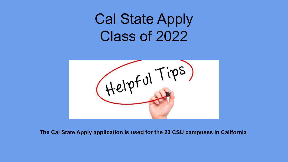# Cal State Apply Class of 2022



**The Cal State Apply application is used for the 23 CSU campuses in California**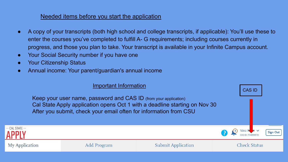## Needed items before you start the application

- A copy of your transcripts (both high school and college transcripts, if applicable): You'll use these to enter the courses you've completed to fulfill A- G requirements; including courses currently in progress, and those you plan to take. Your transcript is available in your Infinite Campus account.
- Your Social Security number if you have one
- Your Citizenship Status
- Annual income: Your parent/guardian's annual income

## Important Information CAS IDKeep your user name, password and CAS ID (from your application) Cal State Apply application opens Oct 1 with a deadline starting on Nov 30 After you submit, check your email often for information from CSU CAL STATE -**Sign Out** My Application Add Program **Submit Application Check Status**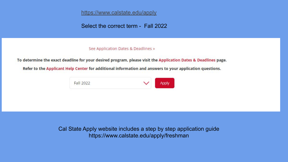<https://www.calstate.edu/apply>

Select the correct term - Fall 2022

#### See Application Dates & Deadlines »

To determine the exact deadline for your desired program, please visit the Application Dates & Deadlines page.

Refer to the Applicant Help Center for additional information and answers to your application questions.



Cal State Apply website includes a step by step application guide https://www.calstate.edu/apply/freshman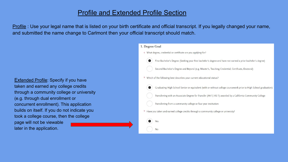## Profile and Extended Profile Section

Profile : Use your legal name that is listed on your birth certificate and official transcript. If you legally changed your name, and submitted the name change to Carlmont then your official transcript should match.

**Extended Profile: Specify if you have** taken and earned any college credits through a community college or university (e.g. through dual enrollment or concurrent enrollment). This application builds on itself. If you do not indicate you took a college course, then the college page will not be viewable later in the application.

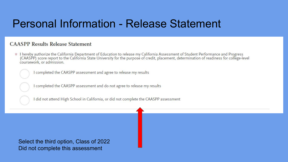# Personal Information - Release Statement

### **CAASPP Results Release Statement**

\* I hereby authorize the California Department of Education to release my California Assessment of Student Performance and Progress (CAASPP) score report to the California State University for the purpose of credit, placement, determination of readiness for college-level coursework, or admission.

I completed the CAASPP assessment and agree to release my results

I completed the CAASPP assessment and do not agree to release my results

I did not attend High School in California, or did not complete the CAASPP assessment

Select the third option, Class of 2022 Did not complete this assessment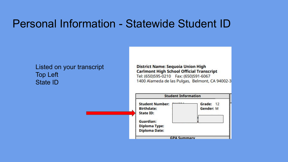# Personal Information - Statewide Student ID

## Listed on your transcript Top Left State ID

**District Name: Sequoia Union High Carlmont High School Official Transcript** Tel: (650)595-0210 Fax: (650)591-6067 1400 Alameda de las Pulgas, Belmont, CA 94002-3

| <b>Student Information</b>                                                                                                                           |                               |
|------------------------------------------------------------------------------------------------------------------------------------------------------|-------------------------------|
| <b>BAARRA</b><br><b>Student Number:</b><br><b>Birthdate:</b><br><b>State ID:</b><br><b>Guardian:</b><br><b>Diploma Type:</b><br><b>Diploma Date:</b> | Grade: 12<br><b>Gender: M</b> |
| <b>GPA Summary</b>                                                                                                                                   |                               |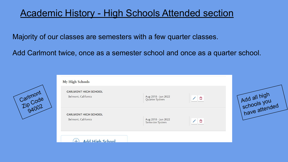## Academic History - High Schools Attended section

Majority of our classes are semesters with a few quarter classes.

Add Carlmont twice, once as a semester school and once as a quarter school.



| My High Schools                                    |                                        |   |  |
|----------------------------------------------------|----------------------------------------|---|--|
| <b>CARLMONT HIGH SCHOOL</b><br>Belmont, California | Aug 2018 - Jun 2022<br>Quarter System  | n |  |
| <b>CARLMONT HIGH SCHOOL</b><br>Belmont, California | Aug 2018 - Jun 2022<br>Semester System | û |  |
| Add High School                                    |                                        |   |  |

Add all high schools you have attended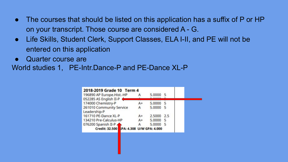- The courses that should be listed on this application has a suffix of P or HP on your transcript. Those course are considered A - G.
- Life Skills, Student Clerk, Support Classes, ELA I-II, and PE will not be entered on this application
- Quarter course are

World studies 1, PE-Intr.Dance-P and PE-Dance XL-P

| 2018-2019 Grade 10 Term 4                |      |          |     |  |
|------------------------------------------|------|----------|-----|--|
| 196890 AP Europe.Hist.-HP                |      | 5.0000 5 |     |  |
| 052285 AS English II-P                   |      |          |     |  |
| 174000 Chemistry-P                       | $A+$ | 5.0000   | -5  |  |
| 261010 Community Service                 | А    | 5.0000 5 |     |  |
| Leadership-P                             |      |          |     |  |
| 161710 PE-Dance XL-P                     | $A+$ | 2,5000   | 2.5 |  |
| 134210 Pre-Calculus-HP                   | A+   | 5.0000   | -5  |  |
| 076200 Spanish II-P                      | А    | 5.0000   | - 5 |  |
| Credit: 32.500 FPA: 4.308 U/W GPA: 4.000 |      |          |     |  |
|                                          |      |          |     |  |
|                                          |      |          |     |  |
|                                          |      |          |     |  |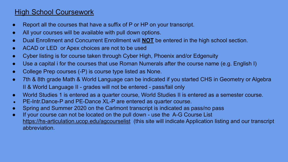## High School Coursework

- Report all the courses that have a suffix of P or HP on your transcript.
- All your courses will be available with pull down options.
- Dual Enrollment and Concurrent Enrollment will **NOT** be entered in the high school section.
- ACAD or LED or Apex choices are not to be used
- Cyber listing is for course taken through Cyber High, Phoenix and/or Edgenuity
- Use a capital i for the courses that use Roman Numerals after the course name (e.g. English I)
- College Prep courses (-P) is course type listed as None.
- 7th & 8th grade Math & World Language can be indicated if you started CHS in Geometry or Algebra II & World Language II - grades will not be entered - pass/fail only
- World Studies 1 is entered as a quarter course, World Studies II is entered as a semester course.
- PE-Intr.Dance-P and PE-Dance XL-P are entered as quarter course.
- Spring and Summer 2020 on the Carlmont transcript is indicated as pass/no pass
- If your course can not be located on the pull down use the A-G Course List <https://hs-articulation.ucop.edu/agcourselist> (this site will indicate Application listing and our transcript abbreviation.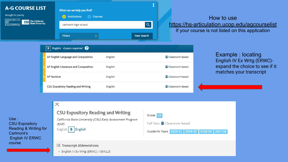### **A-G COURSE LIST**

Brought to you by

**UNIVERSITY** 

**CALIFORNIA** 

 $\overline{OP}$ 



### How to use <https://hs-articulation.ucop.edu/agcourselist> If your course is not listed on this application

#### **B** English 4 years required **@** AP English Language and Composition English Classroom-based AP English Literature and Composition English **El** Classroom-based **AP Seminar** English **Ⅲ** Classroom-based CSU Expository Reading and Writing English **田** Classroom-based

Example : locating English IV Ex Wrtg (ERWC) expand the choice to see if it matches your transcript

Use : CSU Expository Reading & Writing for Carlmont's English IV ERWC course

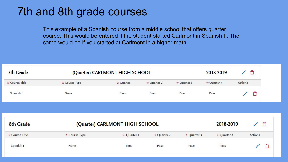# 7th and 8th grade courses

This example of a Spanish course from a middle school that offers quarter course. This would be entered if the student started Carlmont in Spanish II. The same would be if you started at Carlmont in a higher math.

| 7th Grade      |               | (Quarter) CARLMONT HIGH SCHOOL                |             |             | 2018-2019   | Î              | €              |   |
|----------------|---------------|-----------------------------------------------|-------------|-------------|-------------|----------------|----------------|---|
| * Course Title | * Course Type | * Quarter 1                                   | * Quarter 2 | * Quarter 3 | * Quarter 4 | <b>Actions</b> |                |   |
| Spanish I      | None          | Pass                                          | Pass        | Pass        | Pass        |                | Ô              |   |
|                |               |                                               |             |             |             |                |                |   |
|                |               |                                               |             |             |             |                |                |   |
| 8th Grade      |               |                                               |             |             | 2018-2019   |                |                |   |
| * Course Title | * Course Type | (Quarter) CARLMONT HIGH SCHOOL<br>* Quarter 1 | * Quarter 2 | * Quarter 3 | * Quarter 4 |                | <b>Actions</b> | Ô |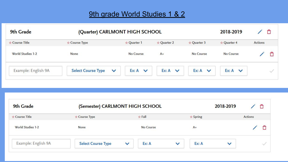## 9th grade World Studies 1 & 2

| 9th Grade           | (Quarter) CARLMONT HIGH SCHOOL            |                    |                    |                    | 2018-2019          | Ô              |
|---------------------|-------------------------------------------|--------------------|--------------------|--------------------|--------------------|----------------|
| * Course Title      | * Course Type                             | * Quarter 1        | * Quarter 2        | * Quarter 3        | ☆ Quarter 4        | <b>Actions</b> |
| World Studies 1-2   | None                                      | No Course          | $A+$               | No Course          | No Course          |                |
| Example: English 9A | <b>Select Course Type</b><br>$\checkmark$ | $Ex: A \quad \vee$ | $Ex: A \quad \vee$ | $Ex: A \quad \vee$ | $Ex: A \quad \vee$ |                |

| 9th Grade           | (Semester) CARLMONT HIGH SCHOOL |                       |                       | 2018-2019    |         |  |
|---------------------|---------------------------------|-----------------------|-----------------------|--------------|---------|--|
| * Course Title      | * Course Type                   | $\star$ Fall          | $\star$ Spring        |              | Actions |  |
| World Studies 1-2   | None                            | No Course             | $A+$                  |              |         |  |
| Example: English 9A | <b>Select Course Type</b>       | Ex: A<br>$\checkmark$ | Ex: A<br>$\checkmark$ | $\checkmark$ |         |  |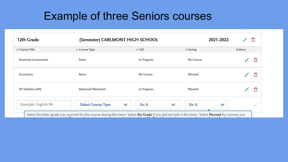# Example of three Seniors courses

| 12th Grade                 | (Semester) CARLMONT HIGH SCHOOL |                       | 2021-2022             | €              |
|----------------------------|---------------------------------|-----------------------|-----------------------|----------------|
| * Course Title             | * Course Type                   | $\star$ Fall          | $\star$ Spring        | <b>Actions</b> |
| <b>American Government</b> | <b>None</b>                     | In Progress           | No Course             | €              |
| Economics                  | <b>None</b>                     | No Course             | Planned               | €              |
| <b>AP Statistics (AP)</b>  | <b>Advanced Placement</b>       | In Progress           | Planned               | Ô              |
| Example: English 9A        | <b>Select Course Type</b>       | Ex: A<br>$\checkmark$ | Ex: A<br>$\checkmark$ | $\checkmark$   |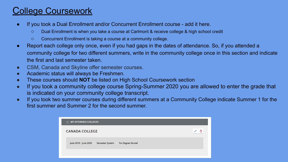## College Coursework

- If you took a Dual Enrollment and/or Concurrent Enrollment course add it here.
	- Dual Enrollment is when you take a course at Carlmont & receive college & high school credit
	- Concurrent Enrollment is taking a course at a community college.
- Report each college only once, even if you had gaps in the dates of attendance. So, if you attended a community college for two different summers, write in the community college once in this section and indicate the first and last semester taken.
- CSM, Canada and Skyline offer semester courses.
- Academic status will always be Freshmen.
- These courses should **NOT** be listed on High School Coursework section
- If you took a community college course Spring-Summer 2020 you are allowed to enter the grade that is indicated on your community college transcript.
- If you took two summer courses during different summers at a Community College indicate Summer 1 for the first summer and Summer 2 for the second summer.

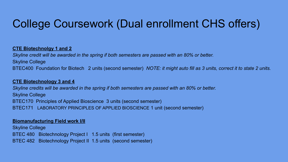# College Coursework (Dual enrollment CHS offers)

#### **CTE Biotechnolgy 1 and 2**

*Skyline credit will be awarded in the spring if both semesters are passed with an 80% or better.*  Skyline College BTEC400 Foundation for Biotech 2 units (second semester) *NOTE: it might auto fill as 3 units, correct it to state 2 units.*

#### **CTE Biotechnology 3 and 4**

*Skyline credits will be awarded in the spring if both semesters are passed with an 80% or better.*  Skyline College BTEC170 Principles of Applied Bioscience 3 units (second semester) BTEC171 LABORATORY PRINCIPLES OF APPLIED BIOSCIENCE 1 unit (second semester)

#### **Biomanufacturing Field work I/II**

Skyline College BTEC 480 Biotechnology Project I 1.5 units (first semester) BTEC 482 Biotechnology Project II 1.5 units (second semester)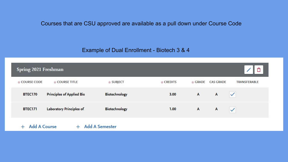Courses that are CSU approved are available as a pull down under Course Code

Example of Dual Enrollment - Biotech 3 & 4

| Spring 2021 Freshman |                                  |                 |                 |               |                  |                     |
|----------------------|----------------------------------|-----------------|-----------------|---------------|------------------|---------------------|
| <b>* COURSE CODE</b> | * COURSE TITLE                   | $\star$ SUBJECT | $\star$ CREDITS | $\star$ GRADE | <b>CAS GRADE</b> | <b>TRANSFERABLE</b> |
| <b>BTEC170</b>       | <b>Principles of Applied Bio</b> | Biotechnology   | 3.00            | $\mathbf{A}$  | $\overline{A}$   | $\checkmark$        |
| <b>BTEC171</b>       | Laboratory Principles of         | Biotechnology   | 1.00            | $\mathsf{A}$  | $\mathsf{A}$     | $\sqrt{}$           |

+ Add A Course + Add A Semester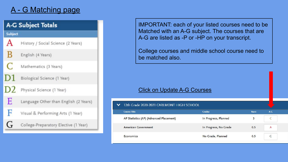## A - G Matching page



IMPORTANT: each of your listed courses need to be Matched with an A-G subject. The courses that are A-G are listed as -P or -HP on your transcript.

College courses and middle school course need to be matched also.

#### Click on Update A-G Courses

| $\checkmark$ | 12th Grade 2020-2021 CARLMONT HIGH SCHOOL |                       |              |         |
|--------------|-------------------------------------------|-----------------------|--------------|---------|
|              | <b>Course Title</b>                       | <b>Grades</b>         | <b>Years</b> | $A - G$ |
|              | AP Statistics (AP) (Advanced Placement)   | In Progress, Planned  |              |         |
|              | <b>American Government</b>                | In Progress, No Grade | 0.5          | A       |
|              | Economics                                 | No Grade, Planned     | 0.5          | G       |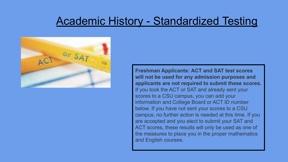## Academic History - Standardized Testing



**Freshman Applicants: ACT and SAT test scores will not be used for any admission purposes and applicants are not required to submit these scores.** If you took the ACT or SAT and already sent your scores to a CSU campus, you can add your information and College Board or ACT ID number below. If you have not sent your scores to a CSU campus, no further action is needed at this time. If you are accepted and you elect to submit your SAT and ACT scores, these results will only be used as one of the measures to place you in the proper mathematics and English courses.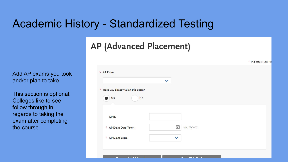# Academic History - Standardized Testing

## **AP (Advanced Placement)**

Add AP exams you took and/or plan to take.

This section is optional. Colleges like to see follow through in regards to taking the exam after completing the course.

|                                       | $\checkmark$ |            |  |
|---------------------------------------|--------------|------------|--|
| $*$ Have you already taken this exam? |              |            |  |
| No<br>Yes                             |              |            |  |
|                                       |              |            |  |
| <b>APID</b>                           |              |            |  |
|                                       |              |            |  |
| * AP Exam Date Taken                  | г            | MM/DD/YYYY |  |
| * AP Exam Score                       | $\checkmark$ |            |  |

\* Indicates required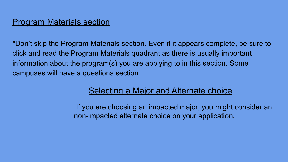## **Program Materials section**

\*Don't skip the Program Materials section. Even if it appears complete, be sure to click and read the Program Materials quadrant as there is usually important information about the program(s) you are applying to in this section. Some campuses will have a questions section.

## Selecting a Major and Alternate choice

 If you are choosing an impacted major, you might consider an non-impacted alternate choice on your application.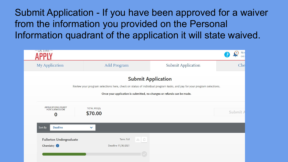Submit Application - If you have been approved for a waiver from the information you provided on the Personal Information quadrant of the application it will state waived.

| $-$ CAL STATE $-$                                              |                                                                        |                                                                                                                                                     | Nin<br>$\left  \right $<br>CAS |
|----------------------------------------------------------------|------------------------------------------------------------------------|-----------------------------------------------------------------------------------------------------------------------------------------------------|--------------------------------|
| <b>My Application</b>                                          | Add Program                                                            | Submit Application                                                                                                                                  | Che                            |
|                                                                |                                                                        | <b>Submit Application</b><br>Review your program selections here, check on status of individual program tasks, and pay for your program selections. |                                |
|                                                                | Once your application is submitted, no changes or refunds can be made. |                                                                                                                                                     |                                |
| <b>APPLICATIONS READY</b><br><b>FOR SUBMISSION</b><br>$\bf{0}$ | <b>TOTAL FEE(S)</b><br>\$70.00                                         |                                                                                                                                                     | Submit A                       |
| Sort By<br><b>Deadline</b>                                     | $\checkmark$                                                           |                                                                                                                                                     |                                |
| <b>Fullerton Undergraduate</b><br>Chemistry <sup>1</sup>       | Term: Fall<br>山口<br>Deadline 11/30/2021                                |                                                                                                                                                     |                                |